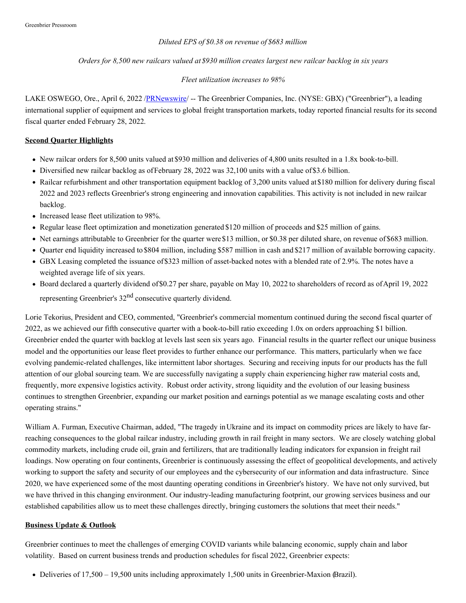## *Diluted EPS of \$0.38 on revenue of \$683 million*

## *Orders for 8,500 new railcars valued at \$930 million creates largest new railcar backlog in six years*

## *Fleet utilization increases to 98%*

LAKE OSWEGO, Ore., April 6, 2022 [/PRNewswire](http://www.prnewswire.com/)/ -- The Greenbrier Companies, Inc. (NYSE: GBX) ("Greenbrier"), a leading international supplier of equipment and services to global freight transportation markets, today reported financial results for its second fiscal quarter ended February 28, 2022.

## **Second Quarter Highlights**

- New railcar orders for 8,500 units valued at \$930 million and deliveries of 4,800 units resulted in a 1.8x book-to-bill.
- Diversified new railcar backlog as ofFebruary 28, 2022 was 32,100 units with a value of\$3.6 billion.
- Railcar refurbishment and other transportation equipment backlog of 3,200 units valued at\$180 million for delivery during fiscal 2022 and 2023 reflects Greenbrier's strong engineering and innovation capabilities. This activity is not included in new railcar backlog.
- Increased lease fleet utilization to 98%.
- Regular lease fleet optimization and monetization generated \$120 million of proceeds and \$25 million of gains.
- Net earnings attributable to Greenbrier for the quarter were \$13 million, or \$0.38 per diluted share, on revenue of \$683 million.
- Quarter end liquidity increased to \$804 million, including \$587 million in cash and \$217 million of available borrowing capacity.
- GBX Leasing completed the issuance of\$323 million of asset-backed notes with a blended rate of 2.9%. The notes have a weighted average life of six years.
- Board declared a quarterly dividend of\$0.27 per share, payable on May 10, 2022 to shareholders of record as ofApril 19, 2022 representing Greenbrier's 32<sup>nd</sup> consecutive quarterly dividend.

Lorie Tekorius, President and CEO, commented, "Greenbrier's commercial momentum continued during the second fiscal quarter of 2022, as we achieved our fifth consecutive quarter with a book-to-bill ratio exceeding 1.0x on orders approaching \$1 billion. Greenbrier ended the quarter with backlog at levels last seen six years ago. Financial results in the quarter reflect our unique business model and the opportunities our lease fleet provides to further enhance our performance. This matters, particularly when we face evolving pandemic-related challenges, like intermittent labor shortages. Securing and receiving inputs for our products has the full attention of our global sourcing team. We are successfully navigating a supply chain experiencing higher raw material costs and, frequently, more expensive logistics activity. Robust order activity, strong liquidity and the evolution of our leasing business continues to strengthen Greenbrier, expanding our market position and earnings potential as we manage escalating costs and other operating strains."

William A. Furman, Executive Chairman, added, "The tragedy inUkraine and its impact on commodity prices are likely to have farreaching consequences to the global railcar industry, including growth in rail freight in many sectors. We are closely watching global commodity markets, including crude oil, grain and fertilizers, that are traditionally leading indicators for expansion in freight rail loadings. Now operating on four continents, Greenbrier is continuously assessing the effect of geopolitical developments, and actively working to support the safety and security of our employees and the cybersecurity of our information and data infrastructure. Since 2020, we have experienced some of the most daunting operating conditions in Greenbrier's history. We have not only survived, but we have thrived in this changing environment. Our industry-leading manufacturing footprint, our growing services business and our established capabilities allow us to meet these challenges directly, bringing customers the solutions that meet their needs."

## **Business Update & Outlook**

Greenbrier continues to meet the challenges of emerging COVID variants while balancing economic, supply chain and labor volatility. Based on current business trends and production schedules for fiscal 2022, Greenbrier expects:

Deliveries of 17,500 – 19,500 units including approximately 1,500 units in Greenbrier-Maxion (Brazil).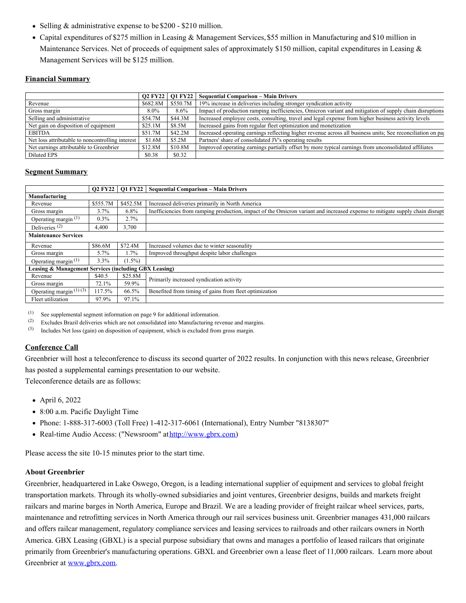- Selling & administrative expense to be \$200 \$210 million.
- Capital expenditures of \$275 million in Leasing & Management Services, \$55 million in Manufacturing and \$10 million in Maintenance Services. Net of proceeds of equipment sales of approximately \$150 million, capital expenditures in Leasing & Management Services will be \$125 million.

# **Financial Summary**

|                                                  |          |          | Q2 FY22   Q1 FY22   Sequential Comparison – Main Drivers                                                    |
|--------------------------------------------------|----------|----------|-------------------------------------------------------------------------------------------------------------|
| Revenue                                          | \$682.8M | \$550.7M | 19% increase in deliveries including stronger syndication activity                                          |
| Gross margin                                     | $8.0\%$  | $8.6\%$  | Impact of production ramping inefficiencies, Omicron variant and mitigation of supply chain disruptions     |
| Selling and administrative                       | \$54.7M  | \$44.3M  | Increased employee costs, consulting, travel and legal expense from higher business activity levels         |
| Net gain on disposition of equipment             | \$25.1M  | \$8.5M   | Increased gains from regular fleet optimization and monetization                                            |
| <b>EBITDA</b>                                    | \$51.7M  | \$42.2M  | Increased operating earnings reflecting higher revenue across all business units; See reconciliation on pay |
| Net loss attributable to noncontrolling interest | \$1.6M   | \$5.2M   | Partners' share of consolidated JV's operating results                                                      |
| Net earnings attributable to Greenbrier          | \$12.8M  | \$10.8M  | Improved operating earnings partially offset by more typical earnings from unconsolidated affiliates        |
| <b>Diluted EPS</b>                               | \$0.38   | \$0.32   |                                                                                                             |

# **Segment Summary**

|                                                       |          | Q2 FY22   Q1 FY22 | <b>Sequential Comparison - Main Drivers</b>                                                                                  |
|-------------------------------------------------------|----------|-------------------|------------------------------------------------------------------------------------------------------------------------------|
| Manufacturing                                         |          |                   |                                                                                                                              |
| Revenue                                               | \$555.7M | \$452.5M          | Increased deliveries primarily in North America                                                                              |
| Gross margin                                          | $3.7\%$  | 6.8%              | Inefficiencies from ramping production, impact of the Omicron variant and increased expense to mitigate supply chain disrupt |
| Operating margin $(1)$                                | $0.3\%$  | 2.7%              |                                                                                                                              |
| Deliveries $(2)$                                      | 4,400    | 3,700             |                                                                                                                              |
| <b>Maintenance Services</b>                           |          |                   |                                                                                                                              |
| Revenue                                               | \$86.6M  | \$72.4M           | Increased volumes due to winter seasonality                                                                                  |
| Gross margin                                          | $5.7\%$  | 1.7%              | Improved throughput despite labor challenges                                                                                 |
| Operating margin $(1)$                                | $3.3\%$  | $(1.5\%)$         |                                                                                                                              |
| Leasing & Management Services (including GBX Leasing) |          |                   |                                                                                                                              |
| Revenue                                               | \$40.5   | \$25.8M           | Primarily increased syndication activity                                                                                     |
| Gross margin                                          | 72.1%    | 59.9%             |                                                                                                                              |
| Operating margin $(1)(3)$                             | 117.5%   | 66.5%             | Benefited from timing of gains from fleet optimization                                                                       |
| Fleet utilization                                     | 97.9%    | 97.1%             |                                                                                                                              |

(1) See supplemental segment information on page 9 for additional information.<br>(2) Excludes Brazil deliveries which are not consolidated into Manufacturing res

Excludes Brazil deliveries which are not consolidated into Manufacturing revenue and margins.

(3) Includes Net loss (gain) on disposition of equipment, which is excluded from gross margin.

# **Conference Call**

Greenbrier will host a teleconference to discuss its second quarter of 2022 results. In conjunction with this news release, Greenbrier has posted a supplemental earnings presentation to our website.

Teleconference details are as follows:

- April 6, 2022
- 8:00 a.m. Pacific Daylight Time
- Phone: 1-888-317-6003 (Toll Free) 1-412-317-6061 (International), Entry Number "8138307"
- Real-time Audio Access: ("Newsroom" at[http://www.gbrx.com](https://c212.net/c/link/?t=0&l=en&o=3495983-1&h=358444621&u=http%3A%2F%2Fwww.gbrx.com%2F&a=http%3A%2F%2Fwww.gbrx.com))

Please access the site 10-15 minutes prior to the start time.

## **About Greenbrier**

Greenbrier, headquartered in Lake Oswego, Oregon, is a leading international supplier of equipment and services to global freight transportation markets. Through its wholly-owned subsidiaries and joint ventures, Greenbrier designs, builds and markets freight railcars and marine barges in North America, Europe and Brazil. We are a leading provider of freight railcar wheel services, parts, maintenance and retrofitting services in North America through our rail services business unit. Greenbrier manages 431,000 railcars and offers railcar management, regulatory compliance services and leasing services to railroads and other railcars owners in North America. GBX Leasing (GBXL) is a special purpose subsidiary that owns and manages a portfolio of leased railcars that originate primarily from Greenbrier's manufacturing operations. GBXL and Greenbrier own a lease fleet of 11,000 railcars. Learn more about Greenbrier at [www.gbrx.com](https://c212.net/c/link/?t=0&l=en&o=3495983-1&h=620108705&u=http%3A%2F%2Fwww.gbrx.com%2F&a=www.gbrx.com).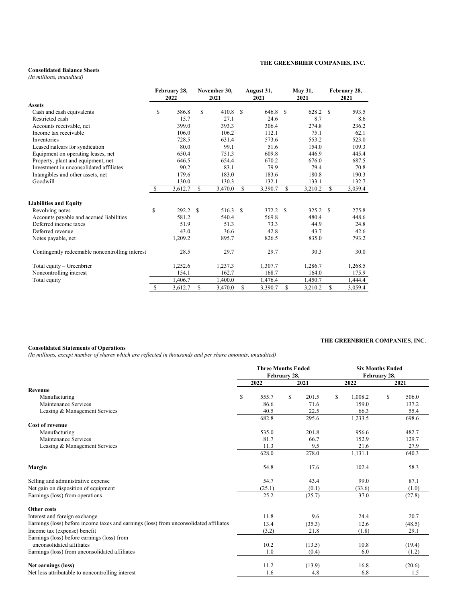#### **Consolidated Balance Sheets**

*(In millions, unaudited)*

|                                                 | February 28,<br>2022 |         | November 30,<br>2021 |         | August 31,<br>2021 |          | May 31,<br>2021 |         | February 28,<br>2021 |         |
|-------------------------------------------------|----------------------|---------|----------------------|---------|--------------------|----------|-----------------|---------|----------------------|---------|
| <b>Assets</b>                                   |                      |         |                      |         |                    |          |                 |         |                      |         |
| Cash and cash equivalents                       | S                    | 586.8   | \$                   | 410.8   | \$.                | 646.8    | <sup>\$</sup>   | 628.2   | \$.                  | 593.5   |
| Restricted cash                                 |                      | 15.7    |                      | 27.1    |                    | 24.6     |                 | 8.7     |                      | 8.6     |
| Accounts receivable, net                        |                      | 399.0   |                      | 393.3   |                    | 306.4    |                 | 274.8   |                      | 236.2   |
| Income tax receivable                           |                      | 106.0   |                      | 106.2   |                    | 112.1    |                 | 75.1    |                      | 62.1    |
| Inventories                                     |                      | 728.5   |                      | 631.4   |                    | 573.6    |                 | 553.2   |                      | 523.0   |
| Leased railcars for syndication                 |                      | 80.0    |                      | 99.1    |                    | 51.6     |                 | 154.0   |                      | 109.3   |
| Equipment on operating leases, net              |                      | 650.4   |                      | 751.3   |                    | 609.8    |                 | 446.9   |                      | 445.4   |
| Property, plant and equipment, net              |                      | 646.5   |                      | 654.4   |                    | 670.2    |                 | 676.0   |                      | 687.5   |
| Investment in unconsolidated affiliates         |                      | 90.2    |                      | 83.1    |                    | 79.9     |                 | 79.4    |                      | 70.8    |
| Intangibles and other assets, net               |                      | 179.6   |                      | 183.0   |                    | 183.6    |                 | 180.8   |                      | 190.3   |
| Goodwill                                        |                      | 130.0   |                      | 130.3   |                    | 132.1    |                 | 133.1   |                      | 132.7   |
|                                                 | <sup>\$</sup>        | 3,612.7 | S                    | 3,470.0 | S                  | 3,390.7  | \$              | 3,210.2 | S                    | 3,059.4 |
| <b>Liabilities and Equity</b>                   |                      |         |                      |         |                    |          |                 |         |                      |         |
| Revolving notes                                 | \$                   | 292.2   | \$.                  | 516.3   | -S                 | 372.2 \$ |                 | 325.2 S |                      | 275.8   |
| Accounts payable and accrued liabilities        |                      | 581.2   |                      | 540.4   |                    | 569.8    |                 | 480.4   |                      | 448.6   |
| Deferred income taxes                           |                      | 51.9    |                      | 51.3    |                    | 73.3     |                 | 44.9    |                      | 24.8    |
| Deferred revenue                                |                      | 43.0    |                      | 36.6    |                    | 42.8     |                 | 43.7    |                      | 42.6    |
| Notes payable, net                              |                      | 1,209.2 |                      | 895.7   |                    | 826.5    |                 | 835.0   |                      | 793.2   |
| Contingently redeemable noncontrolling interest |                      | 28.5    |                      | 29.7    |                    | 29.7     |                 | 30.3    |                      | 30.0    |
| Total equity - Greenbrier                       |                      | 1,252.6 |                      | 1,237.3 |                    | 1,307.7  |                 | 1,286.7 |                      | 1,268.5 |
| Noncontrolling interest                         |                      | 154.1   |                      | 162.7   |                    | 168.7    |                 | 164.0   |                      | 175.9   |
| Total equity                                    |                      | 1.406.7 |                      | 1,400.0 |                    | 1,476.4  |                 | 1,450.7 |                      | 1,444.4 |
|                                                 | $\mathbb{S}$         | 3,612.7 | \$.                  | 3,470.0 | S                  | 3,390.7  | \$              | 3,210.2 | S                    | 3,059.4 |

### **Consolidated Statements of Operations**

*(In millions, except number of shares which are reflected in thousands and per share amounts, unaudited)*

|                                                                                        | <b>Three Months Ended</b> |              |        |   |         | <b>Six Months Ended</b> |        |
|----------------------------------------------------------------------------------------|---------------------------|--------------|--------|---|---------|-------------------------|--------|
|                                                                                        |                           | February 28, |        |   |         | February 28,            |        |
|                                                                                        | 2022                      |              | 2021   |   | 2022    |                         | 2021   |
| Revenue                                                                                |                           |              |        |   |         |                         |        |
| Manufacturing                                                                          | \$<br>555.7               | S            | 201.5  | S | 1,008.2 | S.                      | 506.0  |
| Maintenance Services                                                                   | 86.6                      |              | 71.6   |   | 159.0   |                         | 137.2  |
| Leasing & Management Services                                                          | 40.5                      |              | 22.5   |   | 66.3    |                         | 55.4   |
|                                                                                        | 682.8                     |              | 295.6  |   | 1,233.5 |                         | 698.6  |
| Cost of revenue                                                                        |                           |              |        |   |         |                         |        |
| Manufacturing                                                                          | 535.0                     |              | 201.8  |   | 956.6   |                         | 482.7  |
| Maintenance Services                                                                   | 81.7                      |              | 66.7   |   | 152.9   |                         | 129.7  |
| Leasing & Management Services                                                          | 11.3                      |              | 9.5    |   | 21.6    |                         | 27.9   |
|                                                                                        | 628.0                     |              | 278.0  |   | 1,131.1 |                         | 640.3  |
| Margin                                                                                 | 54.8                      |              | 17.6   |   | 102.4   |                         | 58.3   |
| Selling and administrative expense                                                     | 54.7                      |              | 43.4   |   | 99.0    |                         | 87.1   |
| Net gain on disposition of equipment                                                   | (25.1)                    |              | (0.1)  |   | (33.6)  |                         | (1.0)  |
| Earnings (loss) from operations                                                        | 25.2                      |              | (25.7) |   | 37.0    |                         | (27.8) |
| Other costs                                                                            |                           |              |        |   |         |                         |        |
| Interest and foreign exchange                                                          | 11.8                      |              | 9.6    |   | 24.4    |                         | 20.7   |
| Earnings (loss) before income taxes and earnings (loss) from unconsolidated affiliates | 13.4                      |              | (35.3) |   | 12.6    |                         | (48.5) |
| Income tax (expense) benefit                                                           | (3.2)                     |              | 21.8   |   | (1.8)   |                         | 29.1   |
| Earnings (loss) before earnings (loss) from                                            |                           |              |        |   |         |                         |        |
| unconsolidated affiliates                                                              | 10.2                      |              | (13.5) |   | 10.8    |                         | (19.4) |
| Earnings (loss) from unconsolidated affiliates                                         | 1.0                       |              | (0.4)  |   | 6.0     |                         | (1.2)  |
| Net earnings (loss)                                                                    | 11.2                      |              | (13.9) |   | 16.8    |                         | (20.6) |
| Net loss attributable to noncontrolling interest                                       | 1.6                       |              | 4.8    |   | 6.8     |                         | 1.5    |

### **THE GREENBRIER COMPANIES, INC**.

## **THE GREENBRIER COMPANIES, INC.**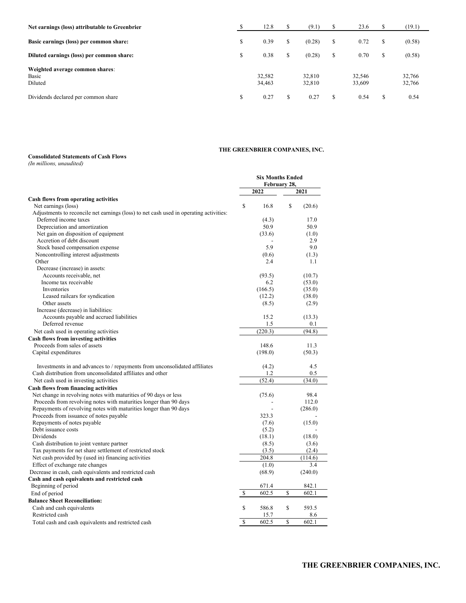| Net earnings (loss) attributable to Greenbrier      | 12.8             | S  | (9.1)            |    | 23.6             | S  | (19.1)           |
|-----------------------------------------------------|------------------|----|------------------|----|------------------|----|------------------|
| Basic earnings (loss) per common share:             | \$<br>0.39       | \$ | (0.28)           | S  | 0.72             | \$ | (0.58)           |
| Diluted earnings (loss) per common share:           | \$<br>0.38       | S  | (0.28)           |    | 0.70             | \$ | (0.58)           |
| Weighted average common shares:<br>Basic<br>Diluted | 32.582<br>34,463 |    | 32.810<br>32,810 |    | 32,546<br>33,609 |    | 32,766<br>32,766 |
| Dividends declared per common share                 | \$<br>0.27       | S  | 0.27             | \$ | 0.54             | \$ | 0.54             |

## **THE GREENBRIER COMPANIES, INC.**

#### **Consolidated Statements of Cash Flows**

*(In millions, unaudited)*

|                                                                                        | <b>Six Months Ended</b> |         |    |         |
|----------------------------------------------------------------------------------------|-------------------------|---------|----|---------|
|                                                                                        | February 28,            |         |    |         |
|                                                                                        |                         | 2022    |    | 2021    |
| Cash flows from operating activities                                                   |                         |         |    |         |
| Net earnings (loss)                                                                    | \$                      | 16.8    | S  | (20.6)  |
| Adjustments to reconcile net earnings (loss) to net cash used in operating activities: |                         |         |    |         |
| Deferred income taxes                                                                  |                         | (4.3)   |    | 17.0    |
| Depreciation and amortization                                                          |                         | 50.9    |    | 50.9    |
| Net gain on disposition of equipment                                                   |                         | (33.6)  |    | (1.0)   |
| Accretion of debt discount                                                             |                         |         |    | 2.9     |
| Stock based compensation expense                                                       |                         | 5.9     |    | 9.0     |
| Noncontrolling interest adjustments                                                    |                         | (0.6)   |    | (1.3)   |
| Other                                                                                  |                         | 2.4     |    | 1.1     |
| Decrease (increase) in assets:                                                         |                         |         |    |         |
| Accounts receivable, net                                                               |                         | (93.5)  |    | (10.7)  |
| Income tax receivable                                                                  |                         | 6.2     |    | (53.0)  |
| <b>Inventories</b>                                                                     |                         | (166.5) |    | (35.0)  |
| Leased railcars for syndication                                                        |                         | (12.2)  |    | (38.0)  |
| Other assets                                                                           |                         | (8.5)   |    | (2.9)   |
| Increase (decrease) in liabilities:                                                    |                         |         |    |         |
| Accounts payable and accrued liabilities                                               |                         | 15.2    |    | (13.3)  |
| Deferred revenue                                                                       |                         | 1.5     |    | 0.1     |
| Net cash used in operating activities                                                  |                         | (220.3) |    | (94.8)  |
| Cash flows from investing activities                                                   |                         |         |    |         |
| Proceeds from sales of assets                                                          |                         | 148.6   |    | 11.3    |
| Capital expenditures                                                                   |                         | (198.0) |    | (50.3)  |
| Investments in and advances to / repayments from unconsolidated affiliates             |                         | (4.2)   |    | 4.5     |
| Cash distribution from unconsolidated affiliates and other                             |                         | 1.2     |    | 0.5     |
| Net cash used in investing activities                                                  |                         | (52.4)  |    | (34.0)  |
| Cash flows from financing activities                                                   |                         |         |    |         |
| Net change in revolving notes with maturities of 90 days or less                       |                         | (75.6)  |    | 98.4    |
| Proceeds from revolving notes with maturities longer than 90 days                      |                         |         |    | 112.0   |
| Repayments of revolving notes with maturities longer than 90 days                      |                         |         |    | (286.0) |
| Proceeds from issuance of notes payable                                                |                         | 323.3   |    |         |
| Repayments of notes payable                                                            |                         | (7.6)   |    | (15.0)  |
| Debt issuance costs                                                                    |                         | (5.2)   |    |         |
| Dividends                                                                              |                         | (18.1)  |    | (18.0)  |
| Cash distribution to joint venture partner                                             |                         | (8.5)   |    | (3.6)   |
| Tax payments for net share settlement of restricted stock                              |                         | (3.5)   |    | (2.4)   |
| Net cash provided by (used in) financing activities                                    |                         | 204.8   |    | (114.6) |
|                                                                                        |                         |         |    | 3.4     |
| Effect of exchange rate changes                                                        |                         | (1.0)   |    |         |
| Decrease in cash, cash equivalents and restricted cash                                 |                         | (68.9)  |    | (240.0) |
| Cash and cash equivalents and restricted cash                                          |                         |         |    |         |
| Beginning of period                                                                    |                         | 671.4   |    | 842.1   |
| End of period                                                                          | \$                      | 602.5   | \$ | 602.1   |
| <b>Balance Sheet Reconciliation:</b>                                                   |                         |         |    |         |
| Cash and cash equivalents                                                              | \$                      | 586.8   | \$ | 593.5   |
| Restricted cash                                                                        |                         | 15.7    |    | 8.6     |
| Total cash and cash equivalents and restricted cash                                    | \$                      | 602.5   | \$ | 602.1   |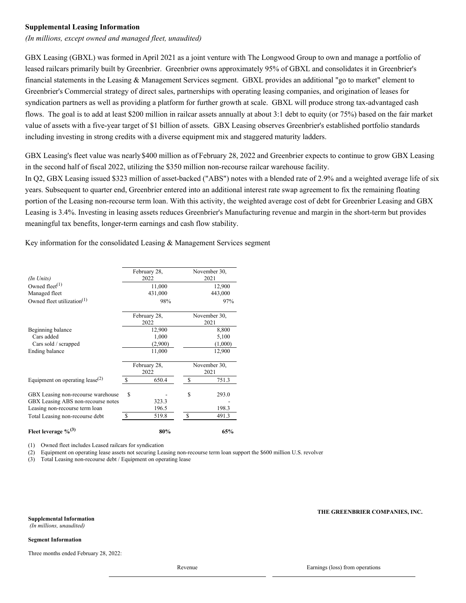### **Supplemental Leasing Information**

*(In millions, except owned and managed fleet, unaudited)*

GBX Leasing (GBXL) was formed in April 2021 as a joint venture with The Longwood Group to own and manage a portfolio of leased railcars primarily built by Greenbrier. Greenbrier owns approximately 95% of GBXL and consolidates it in Greenbrier's financial statements in the Leasing & Management Services segment. GBXL provides an additional "go to market" element to Greenbrier's Commercial strategy of direct sales, partnerships with operating leasing companies, and origination of leases for syndication partners as well as providing a platform for further growth at scale. GBXL will produce strong tax-advantaged cash flows. The goal is to add at least \$200 million in railcar assets annually at about 3:1 debt to equity (or 75%) based on the fair market value of assets with a five-year target of \$1 billion of assets. GBX Leasing observes Greenbrier's established portfolio standards including investing in strong credits with a diverse equipment mix and staggered maturity ladders.

GBX Leasing's fleet value was nearly\$400 million as of February 28, 2022 and Greenbrier expects to continue to grow GBX Leasing in the second half of fiscal 2022, utilizing the \$350 million non-recourse railcar warehouse facility.

In Q2, GBX Leasing issued \$323 million of asset-backed ("ABS") notes with a blended rate of 2.9% and a weighted average life of six years. Subsequent to quarter end, Greenbrier entered into an additional interest rate swap agreement to fix the remaining floating portion of the Leasing non-recourse term loan. With this activity, the weighted average cost of debt for Greenbrier Leasing and GBX Leasing is 3.4%. Investing in leasing assets reduces Greenbrier's Manufacturing revenue and margin in the short-term but provides meaningful tax benefits, longer-term earnings and cash flow stability.

Key information for the consolidated Leasing & Management Services segment

|                                             |               | February 28, |              | November 30, |  |  |
|---------------------------------------------|---------------|--------------|--------------|--------------|--|--|
| (In Units)                                  |               | 2022         |              | 2021         |  |  |
| Owned fleet <sup><math>(1)</math></sup>     |               | 11,000       |              | 12,900       |  |  |
| Managed fleet                               |               | 431,000      |              | 443,000      |  |  |
| Owned fleet utilization $(1)$               |               | 98%          |              | 97%          |  |  |
|                                             |               | February 28, |              | November 30, |  |  |
|                                             |               | 2022         |              | 2021         |  |  |
| Beginning balance                           |               | 12,900       |              | 8,800        |  |  |
| Cars added                                  |               | 1,000        |              | 5,100        |  |  |
| Cars sold / scrapped                        |               | (2,900)      |              | (1,000)      |  |  |
| Ending balance                              |               | 11,000       |              | 12,900       |  |  |
|                                             |               | February 28, | November 30, |              |  |  |
|                                             |               | 2022         | 2021         |              |  |  |
| Equipment on operating lease <sup>(2)</sup> | <sup>\$</sup> | 650.4        | S            | 751.3        |  |  |
| GBX Leasing non-recourse warehouse          | \$            |              | S            | 293.0        |  |  |
| GBX Leasing ABS non-recourse notes          |               | 323.3        |              |              |  |  |
| Leasing non-recourse term loan              |               | 196.5        |              | 198.3        |  |  |
| Total Leasing non-recourse debt             | <sup>\$</sup> | 519.8        | -S           | 491.3        |  |  |
| Fleet leverage $\%^{(3)}$                   |               | 80%          |              | 65%          |  |  |

(1) Owned fleet includes Leased railcars for syndication

(2) Equipment on operating lease assets not securing Leasing non-recourse term loan support the \$600 million U.S. revolver

(3) Total Leasing non-recourse debt / Equipment on operating lease

**Supplemental Information**

# **THE GREENBRIER COMPANIES, INC.**

*(In millions, unaudited)*

### **Segment Information**

Three months ended February 28, 2022:

Revenue Earnings (loss) from operations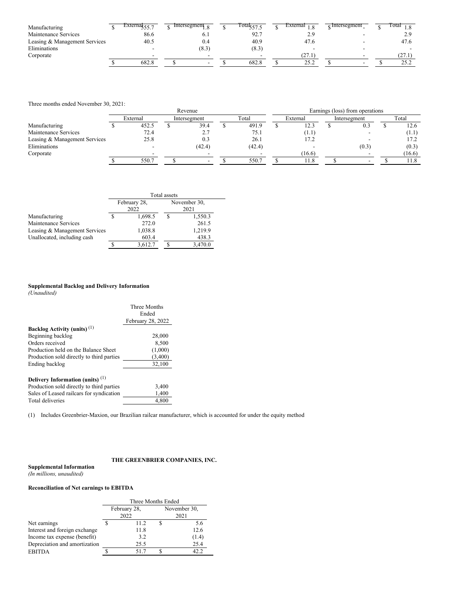| Manufacturing                 | External $\epsilon \epsilon$<br>CCC. | Intersegment $\frac{1}{8}$ | fota $\frac{1}{57}$ $\epsilon$ | External     | $\frac{1}{2}$ Intersegment | 1 otal<br>1.8 |
|-------------------------------|--------------------------------------|----------------------------|--------------------------------|--------------|----------------------------|---------------|
| Maintenance Services          | 86.6                                 | υ.ι                        | 92.7                           | <u>، ، ،</u> |                            | 2.9           |
| Leasing & Management Services | 40.5                                 | 0.4                        | 40.9                           | 47.6         |                            | 47.6          |
| Eliminations                  |                                      | (8.3)                      | (8.3)                          |              |                            |               |
| Corporate                     |                                      |                            |                                | (27.1)       |                            | 127.I         |
|                               | 682.8                                |                            | 682.8                          | 25.2         |                            | 25.2          |

Three months ended November 30, 2021:

|                               | Revenue |          |  |                          |  |        |  | Earnings (loss) from operations |  |              |  |        |  |  |
|-------------------------------|---------|----------|--|--------------------------|--|--------|--|---------------------------------|--|--------------|--|--------|--|--|
|                               |         | External |  | Intersegment             |  | Total  |  | External                        |  | Intersegment |  | Total  |  |  |
| Manufacturing                 |         | 452.5    |  | 39.4                     |  | 491.9  |  | 12.3                            |  | 0.3          |  | 12.6   |  |  |
| Maintenance Services          |         | 72.4     |  | 2.7                      |  | 75.1   |  | (1.1)                           |  |              |  | (1.1)  |  |  |
| Leasing & Management Services |         | 25.8     |  | 0.3                      |  | 26.1   |  | 17.2                            |  |              |  | 17.2   |  |  |
| Eliminations                  |         |          |  | (42.4)                   |  | (42.4) |  |                                 |  | (0.3)        |  | (0.3)  |  |  |
| Corporate                     |         |          |  | $\overline{\phantom{0}}$ |  |        |  | (16.6)                          |  |              |  | (16.6) |  |  |
|                               |         | 550.7    |  |                          |  | 550.7  |  | 11.8                            |  |              |  | 11.8   |  |  |

|                               |                      | Total assets         |         |  |
|-------------------------------|----------------------|----------------------|---------|--|
|                               | February 28,<br>2022 | November 30,<br>2021 |         |  |
| Manufacturing                 | 1,698.5              |                      | 1,550.3 |  |
| Maintenance Services          | 272.0                |                      | 261.5   |  |
| Leasing & Management Services | 1,038.8              |                      | 1,219.9 |  |
| Unallocated, including cash   | 603.4                |                      | 438.3   |  |
|                               | 3,612.7              |                      | 3,470.0 |  |

#### **Supplemental Backlog and Delivery Information**

*(Unaudited)*

|                                           | Three Months<br>Ended<br>February 28, 2022 |
|-------------------------------------------|--------------------------------------------|
| Backlog Activity (units) <sup>(1)</sup>   |                                            |
| Beginning backlog                         | 28,000                                     |
| Orders received                           | 8,500                                      |
| Production held on the Balance Sheet      | (1,000)                                    |
| Production sold directly to third parties | (3,400)                                    |
| Ending backlog                            | 32,100                                     |
| Delivery Information (units) $(1)$        |                                            |
| Production sold directly to third parties | 3,400                                      |
| Sales of Leased railcars for syndication  | 1,400                                      |
| Total deliveries                          | 4.800                                      |

(1) Includes Greenbrier-Maxion, our Brazilian railcar manufacturer, which is accounted for under the equity method

#### **THE GREENBRIER COMPANIES, INC.**

**Supplemental Information** *(In millions, unaudited)*

## **Reconciliation of Net earnings to EBITDA**

|                               | Three Months Ended |              |  |              |  |  |  |  |  |
|-------------------------------|--------------------|--------------|--|--------------|--|--|--|--|--|
|                               |                    | February 28, |  | November 30, |  |  |  |  |  |
|                               |                    | 2022         |  | 2021         |  |  |  |  |  |
| Net earnings                  |                    | 11.2         |  | 5.6          |  |  |  |  |  |
| Interest and foreign exchange |                    | 11.8         |  | 12.6         |  |  |  |  |  |
| Income tax expense (benefit)  |                    | 3.2          |  | (1.4)        |  |  |  |  |  |
| Depreciation and amortization |                    | 25.5         |  | 25.4         |  |  |  |  |  |
| <b>EBITDA</b>                 |                    | 51.7         |  | 42.2.        |  |  |  |  |  |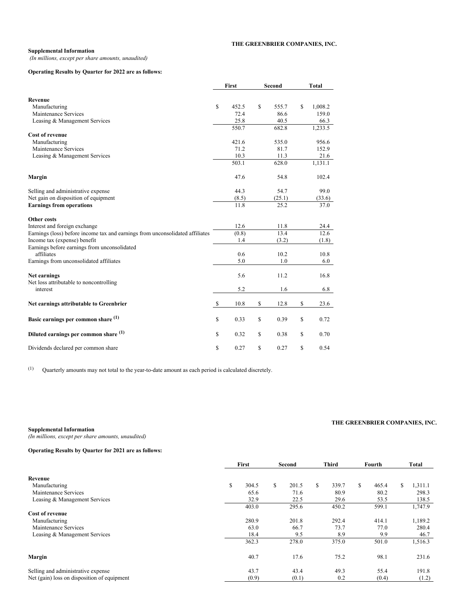#### **THE GREENBRIER COMPANIES, INC.**

# **Supplemental Information**

*(In millions, except per share amounts, unaudited)*

## **Operating Results by Quarter for 2022 are as follows:**

|                                                                               |              | First | Second |        | <b>Total</b> |         |  |
|-------------------------------------------------------------------------------|--------------|-------|--------|--------|--------------|---------|--|
|                                                                               |              |       |        |        |              |         |  |
| Revenue<br>Manufacturing                                                      | S            | 452.5 | \$     | 555.7  | \$           | 1,008.2 |  |
| Maintenance Services                                                          |              | 72.4  |        | 86.6   |              | 159.0   |  |
| Leasing & Management Services                                                 |              | 25.8  |        | 40.5   |              | 66.3    |  |
|                                                                               |              | 550.7 |        | 682.8  |              | 1,233.5 |  |
| Cost of revenue                                                               |              |       |        |        |              |         |  |
| Manufacturing                                                                 |              | 421.6 |        | 535.0  |              | 956.6   |  |
| Maintenance Services                                                          |              | 71.2  |        | 81.7   |              | 152.9   |  |
| Leasing & Management Services                                                 |              | 10.3  |        | 11.3   |              | 21.6    |  |
|                                                                               |              | 503.1 |        | 628.0  |              | 1,131.1 |  |
| Margin                                                                        |              | 47.6  |        | 54.8   |              | 102.4   |  |
| Selling and administrative expense                                            |              | 44.3  |        | 54.7   |              | 99.0    |  |
| Net gain on disposition of equipment                                          |              | (8.5) |        | (25.1) |              | (33.6)  |  |
| <b>Earnings from operations</b>                                               |              | 11.8  |        | 25.2   |              | 37.0    |  |
| Other costs                                                                   |              |       |        |        |              |         |  |
| Interest and foreign exchange                                                 |              | 12.6  |        | 11.8   |              | 24.4    |  |
| Earnings (loss) before income tax and earnings from unconsolidated affiliates |              | (0.8) |        | 13.4   |              | 12.6    |  |
| Income tax (expense) benefit                                                  |              | 1.4   |        | (3.2)  |              | (1.8)   |  |
| Earnings before earnings from unconsolidated<br>affiliates                    |              | 0.6   |        | 10.2   |              | 10.8    |  |
| Earnings from unconsolidated affiliates                                       |              | 5.0   |        | 1.0    |              | 6.0     |  |
| Net earnings<br>Net loss attributable to noncontrolling                       |              | 5.6   |        | 11.2   |              | 16.8    |  |
| interest                                                                      |              | 5.2   |        | 1.6    |              | 6.8     |  |
| Net earnings attributable to Greenbrier                                       | $\mathbb{S}$ | 10.8  | \$     | 12.8   | \$           | 23.6    |  |
| Basic earnings per common share (1)                                           | \$           | 0.33  | \$     | 0.39   | \$           | 0.72    |  |
| Diluted earnings per common share (1)                                         | \$           | 0.32  | \$     | 0.38   | \$           | 0.70    |  |
| Dividends declared per common share                                           | \$           | 0.27  | \$     | 0.27   | \$           | 0.54    |  |

(1) Quarterly amounts may not total to the year-to-date amount as each period is calculated discretely.

#### **Supplemental Information**

*(In millions, except per share amounts, unaudited)*

### **Operating Results by Quarter for 2021 are as follows:**

|                                             |    | First |   | Second |   | <b>Third</b> |   | Fourth |    | Total   |  |
|---------------------------------------------|----|-------|---|--------|---|--------------|---|--------|----|---------|--|
| Revenue                                     |    |       |   |        |   |              |   |        |    |         |  |
| Manufacturing                               | \$ | 304.5 | S | 201.5  | S | 339.7        | S | 465.4  | S. | 1,311.1 |  |
| Maintenance Services                        |    | 65.6  |   | 71.6   |   | 80.9         |   | 80.2   |    | 298.3   |  |
| Leasing & Management Services               |    | 32.9  |   | 22.5   |   | 29.6         |   | 53.5   |    | 138.5   |  |
|                                             |    | 403.0 |   | 295.6  |   | 450.2        |   | 599.1  |    | 1,747.9 |  |
| Cost of revenue                             |    |       |   |        |   |              |   |        |    |         |  |
| Manufacturing                               |    | 280.9 |   | 201.8  |   | 292.4        |   | 414.1  |    | 1,189.2 |  |
| Maintenance Services                        |    | 63.0  |   | 66.7   |   | 73.7         |   | 77.0   |    | 280.4   |  |
| Leasing & Management Services               |    | 18.4  |   | 9.5    |   | 8.9          |   | 9.9    |    | 46.7    |  |
|                                             |    | 362.3 |   | 278.0  |   | 375.0        |   | 501.0  |    | 1,516.3 |  |
| Margin                                      |    | 40.7  |   | 17.6   |   | 75.2         |   | 98.1   |    | 231.6   |  |
| Selling and administrative expense          |    | 43.7  |   | 43.4   |   | 49.3         |   | 55.4   |    | 191.8   |  |
| Net (gain) loss on disposition of equipment |    | (0.9) |   | (0.1)  |   | 0.2          |   | (0.4)  |    | (1.2)   |  |

### **THE GREENBRIER COMPANIES, INC.**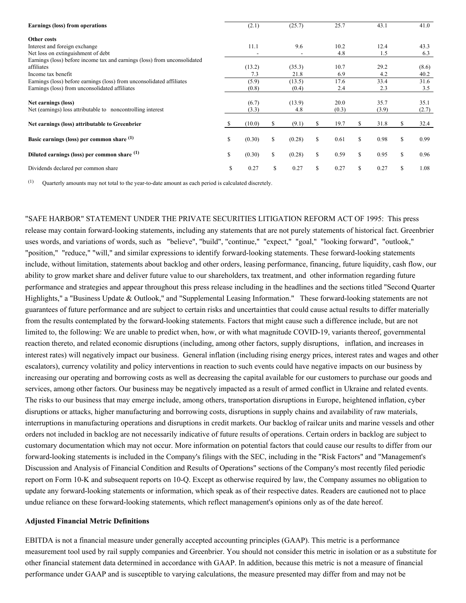| Earnings (loss) from operations                                           |    | (2.1)                    |    | (25.7) |    | 25.7  |    | 43.1  |    | 41.0  |
|---------------------------------------------------------------------------|----|--------------------------|----|--------|----|-------|----|-------|----|-------|
| Other costs                                                               |    |                          |    |        |    |       |    |       |    |       |
| Interest and foreign exchange                                             |    | 11.1                     |    | 9.6    |    | 10.2  |    | 12.4  |    | 43.3  |
| Net loss on extinguishment of debt                                        |    | $\overline{\phantom{a}}$ |    |        |    | 4.8   |    | 1.5   |    | 6.3   |
| Earnings (loss) before income tax and earnings (loss) from unconsolidated |    |                          |    |        |    |       |    |       |    |       |
| affiliates                                                                |    | (13.2)                   |    | (35.3) |    | 10.7  |    | 29.2  |    | (8.6) |
| Income tax benefit                                                        |    | 7.3                      |    | 21.8   |    | 6.9   |    | 4.2   |    | 40.2  |
| Earnings (loss) before earnings (loss) from unconsolidated affiliates     |    | (5.9)                    |    | (13.5) |    | 17.6  |    | 33.4  |    | 31.6  |
| Earnings (loss) from unconsolidated affiliates                            |    | (0.8)                    |    | (0.4)  |    | 2.4   |    | 2.3   |    | 3.5   |
|                                                                           |    |                          |    |        |    |       |    |       |    |       |
| Net earnings (loss)                                                       |    | (6.7)                    |    | (13.9) |    | 20.0  |    | 35.7  |    | 35.1  |
| Net (earnings) loss attributable to noncontrolling interest               |    | (3.3)                    |    | 4.8    |    | (0.3) |    | (3.9) |    | (2.7) |
|                                                                           |    |                          |    |        |    |       |    |       |    |       |
| Net earnings (loss) attributable to Greenbrier                            |    | (10.0)                   | S. | (9.1)  | S. | 19.7  | S  | 31.8  |    | 32.4  |
|                                                                           |    |                          |    |        |    |       |    |       |    |       |
| Basic earnings (loss) per common share (1)                                | \$ | (0.30)                   | S  | (0.28) | S  | 0.61  | \$ | 0.98  | S. | 0.99  |
|                                                                           |    |                          |    |        |    |       |    |       |    |       |
| Diluted earnings (loss) per common share (1)                              | \$ | (0.30)                   | S  | (0.28) | Ŝ. | 0.59  | \$ | 0.95  | S. | 0.96  |
|                                                                           |    |                          |    |        |    |       |    |       |    |       |
| Dividends declared per common share                                       | S  | 0.27                     | S  | 0.27   | S  | 0.27  | \$ | 0.27  | S  | 1.08  |
|                                                                           |    |                          |    |        |    |       |    |       |    |       |

 $(1)$  Quarterly amounts may not total to the year-to-date amount as each period is calculated discretely.

"SAFE HARBOR" STATEMENT UNDER THE PRIVATE SECURITIES LITIGATION REFORM ACT OF 1995: This press release may contain forward-looking statements, including any statements that are not purely statements of historical fact. Greenbrier uses words, and variations of words, such as "believe", "build", "continue," "expect," "goal," "looking forward", "outlook," "position," "reduce," "will," and similar expressions to identify forward-looking statements. These forward-looking statements include, without limitation, statements about backlog and other orders, leasing performance, financing, future liquidity, cash flow, our ability to grow market share and deliver future value to our shareholders, tax treatment, and other information regarding future performance and strategies and appear throughout this press release including in the headlines and the sections titled "Second Quarter Highlights," a "Business Update & Outlook," and "Supplemental Leasing Information." These forward-looking statements are not guarantees of future performance and are subject to certain risks and uncertainties that could cause actual results to differ materially from the results contemplated by the forward-looking statements. Factors that might cause such a difference include, but are not limited to, the following: We are unable to predict when, how, or with what magnitude COVID-19, variants thereof, governmental reaction thereto, and related economic disruptions (including, among other factors, supply disruptions, inflation, and increases in interest rates) will negatively impact our business. General inflation (including rising energy prices, interest rates and wages and other escalators), currency volatility and policy interventions in reaction to such events could have negative impacts on our business by increasing our operating and borrowing costs as well as decreasing the capital available for our customers to purchase our goods and services, among other factors. Our business may be negatively impacted as a result of armed conflict in Ukraine and related events. The risks to our business that may emerge include, among others, transportation disruptions in Europe, heightened inflation, cyber disruptions or attacks, higher manufacturing and borrowing costs, disruptions in supply chains and availability of raw materials, interruptions in manufacturing operations and disruptions in credit markets. Our backlog of railcar units and marine vessels and other orders not included in backlog are not necessarily indicative of future results of operations. Certain orders in backlog are subject to customary documentation which may not occur. More information on potential factors that could cause our results to differ from our forward-looking statements is included in the Company's filings with the SEC, including in the "Risk Factors" and "Management's Discussion and Analysis of Financial Condition and Results of Operations" sections of the Company's most recently filed periodic report on Form 10-K and subsequent reports on 10-Q. Except as otherwise required by law, the Company assumes no obligation to update any forward-looking statements or information, which speak as of their respective dates. Readers are cautioned not to place undue reliance on these forward-looking statements, which reflect management's opinions only as of the date hereof.

#### **Adjusted Financial Metric Definitions**

EBITDA is not a financial measure under generally accepted accounting principles (GAAP). This metric is a performance measurement tool used by rail supply companies and Greenbrier. You should not consider this metric in isolation or as a substitute for other financial statement data determined in accordance with GAAP. In addition, because this metric is not a measure of financial performance under GAAP and is susceptible to varying calculations, the measure presented may differ from and may not be